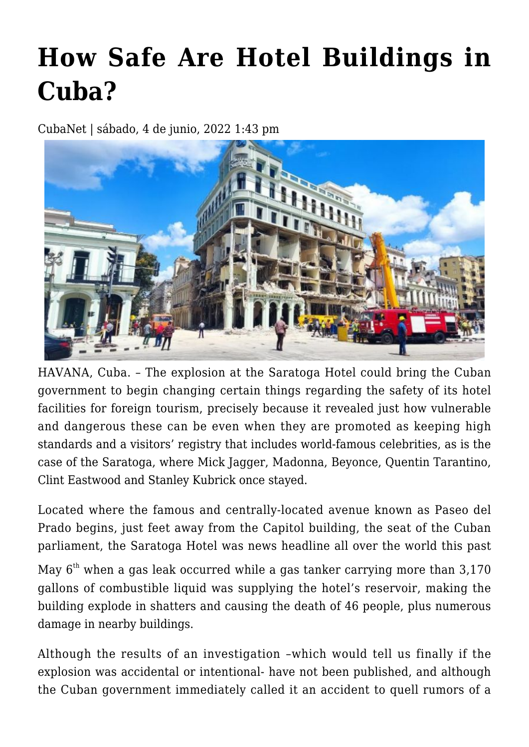## **[How Safe Are Hotel Buildings in](https://www.cubanet.org/english/how-safe-are-hotel-buildings-in-cuba/) [Cuba?](https://www.cubanet.org/english/how-safe-are-hotel-buildings-in-cuba/)**

CubaNet | sábado, 4 de junio, 2022 1:43 pm



HAVANA, Cuba. – The explosion at the Saratoga Hotel could bring the Cuban government to begin changing certain things regarding the safety of its hotel facilities for foreign tourism, precisely because it revealed just how vulnerable and dangerous these can be even when they are promoted as keeping high standards and a visitors' registry that includes world-famous celebrities, as is the case of the Saratoga, where Mick Jagger, Madonna, Beyonce, Quentin Tarantino, Clint Eastwood and Stanley Kubrick once stayed.

Located where the famous and centrally-located avenue known as Paseo del Prado begins, just feet away from the Capitol building, the seat of the Cuban parliament, the Saratoga Hotel was news headline all over the world this past

May  $6<sup>th</sup>$  when a gas leak occurred while a gas tanker carrying more than 3,170 gallons of combustible liquid was supplying the hotel's reservoir, making the building explode in shatters and causing the death of 46 people, plus numerous damage in nearby buildings.

Although the results of an investigation –which would tell us finally if the explosion was accidental or intentional- have not been published, and although the Cuban government immediately called it an accident to quell rumors of a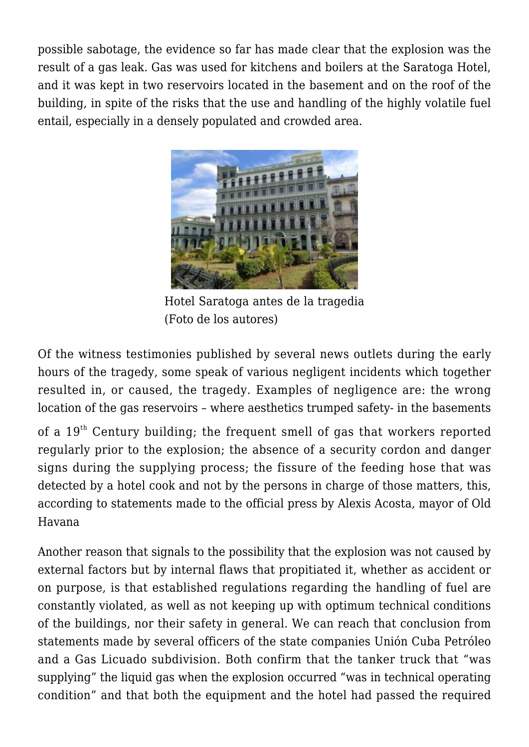possible sabotage, the evidence so far has made clear that the explosion was the result of a gas leak. Gas was used for kitchens and boilers at the Saratoga Hotel, and it was kept in two reservoirs located in the basement and on the roof of the building, in spite of the risks that the use and handling of the highly volatile fuel entail, especially in a densely populated and crowded area.



Hotel Saratoga antes de la tragedia (Foto de los autores)

Of the witness testimonies published by several news outlets during the early hours of the tragedy, some speak of various negligent incidents which together resulted in, or caused, the tragedy. Examples of negligence are: the wrong location of the gas reservoirs – where aesthetics trumped safety- in the basements

of a  $19<sup>th</sup>$  Century building; the frequent smell of gas that workers reported regularly prior to the explosion; the absence of a security cordon and danger signs during the supplying process; the fissure of the feeding hose that was detected by a hotel cook and not by the persons in charge of those matters, this, according to statements made to the official press by Alexis Acosta, mayor of Old Havana

Another reason that signals to the possibility that the explosion was not caused by external factors but by internal flaws that propitiated it, whether as accident or on purpose, is that established regulations regarding the handling of fuel are constantly violated, as well as not keeping up with optimum technical conditions of the buildings, nor their safety in general. We can reach that conclusion from statements made by several officers of the state companies Unión Cuba Petróleo and a Gas Licuado subdivision. Both confirm that the tanker truck that "was supplying" the liquid gas when the explosion occurred "was in technical operating condition" and that both the equipment and the hotel had passed the required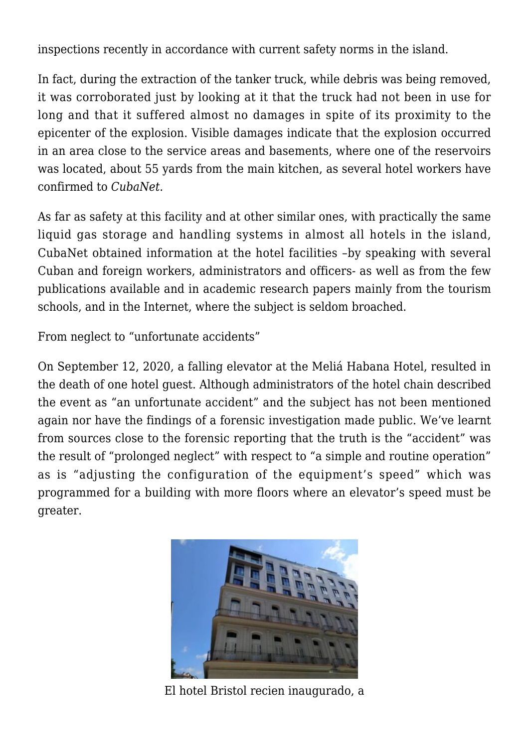inspections recently in accordance with current safety norms in the island.

In fact, during the extraction of the tanker truck, while debris was being removed, it was corroborated just by looking at it that the truck had not been in use for long and that it suffered almost no damages in spite of its proximity to the epicenter of the explosion. Visible damages indicate that the explosion occurred in an area close to the service areas and basements, where one of the reservoirs was located, about 55 yards from the main kitchen, as several hotel workers have confirmed to *CubaNet*.

As far as safety at this facility and at other similar ones, with practically the same liquid gas storage and handling systems in almost all hotels in the island, CubaNet obtained information at the hotel facilities –by speaking with several Cuban and foreign workers, administrators and officers- as well as from the few publications available and in academic research papers mainly from the tourism schools, and in the Internet, where the subject is seldom broached.

From neglect to "unfortunate accidents"

On September 12, 2020, a falling elevator at the Meliá Habana Hotel, resulted in the death of one hotel guest. Although administrators of the hotel chain described the event as "an unfortunate accident" and the subject has not been mentioned again nor have the findings of a forensic investigation made public. We've learnt from sources close to the forensic reporting that the truth is the "accident" was the result of "prolonged neglect" with respect to "a simple and routine operation" as is "adjusting the configuration of the equipment's speed" which was programmed for a building with more floors where an elevator's speed must be greater.



El hotel Bristol recien inaugurado, a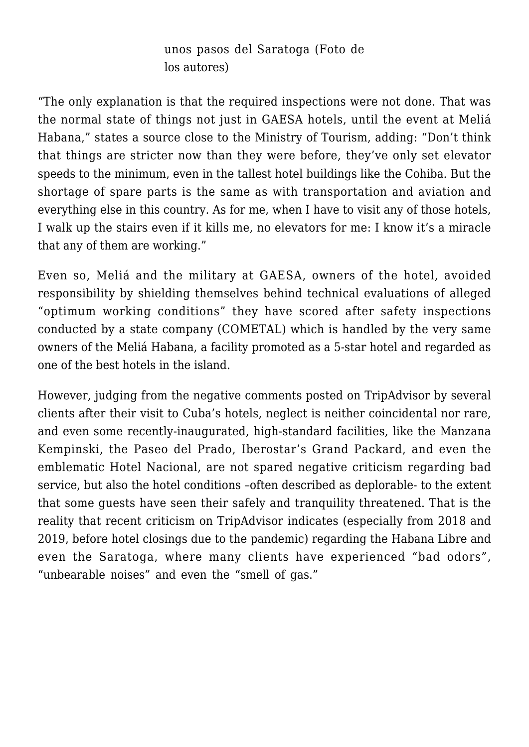unos pasos del Saratoga (Foto de los autores)

"The only explanation is that the required inspections were not done. That was the normal state of things not just in GAESA hotels, until the event at Meliá Habana," states a source close to the Ministry of Tourism, adding: "Don't think that things are stricter now than they were before, they've only set elevator speeds to the minimum, even in the tallest hotel buildings like the Cohiba. But the shortage of spare parts is the same as with transportation and aviation and everything else in this country. As for me, when I have to visit any of those hotels, I walk up the stairs even if it kills me, no elevators for me: I know it's a miracle that any of them are working."

Even so, Meliá and the military at GAESA, owners of the hotel, avoided responsibility by shielding themselves behind technical evaluations of alleged "optimum working conditions" they have scored after safety inspections conducted by a state company (COMETAL) which is handled by the very same owners of the Meliá Habana, a facility promoted as a 5-star hotel and regarded as one of the best hotels in the island.

However, judging from the negative comments posted on TripAdvisor by several clients after their visit to Cuba's hotels, neglect is neither coincidental nor rare, and even some recently-inaugurated, high-standard facilities, like the Manzana Kempinski, the Paseo del Prado, Iberostar's Grand Packard, and even the emblematic Hotel Nacional, are not spared negative criticism regarding bad service, but also the hotel conditions –often described as deplorable- to the extent that some guests have seen their safely and tranquility threatened. That is the reality that recent criticism on TripAdvisor indicates (especially from 2018 and 2019, before hotel closings due to the pandemic) regarding the Habana Libre and even the Saratoga, where many clients have experienced "bad odors", "unbearable noises" and even the "smell of gas."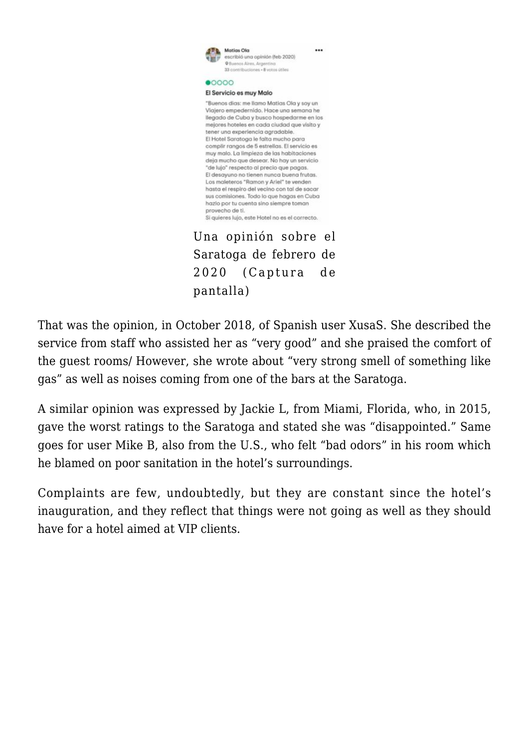

Saratoga de febrero de 2020 (Captura de pantalla)

That was the opinion, in October 2018, of Spanish user XusaS. She described the service from staff who assisted her as "very good" and she praised the comfort of the guest rooms/ However, she wrote about "very strong smell of something like gas" as well as noises coming from one of the bars at the Saratoga.

A similar opinion was expressed by Jackie L, from Miami, Florida, who, in 2015, gave the worst ratings to the Saratoga and stated she was "disappointed." Same goes for user Mike B, also from the U.S., who felt "bad odors" in his room which he blamed on poor sanitation in the hotel's surroundings.

Complaints are few, undoubtedly, but they are constant since the hotel's inauguration, and they reflect that things were not going as well as they should have for a hotel aimed at VIP clients.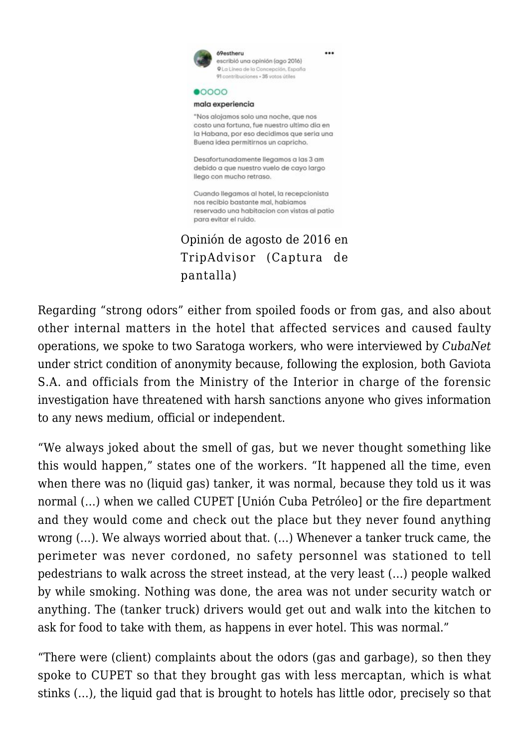

Regarding "strong odors" either from spoiled foods or from gas, and also about other internal matters in the hotel that affected services and caused faulty operations, we spoke to two Saratoga workers, who were interviewed by *CubaNet* under strict condition of anonymity because, following the explosion, both Gaviota S.A. and officials from the Ministry of the Interior in charge of the forensic investigation have threatened with harsh sanctions anyone who gives information to any news medium, official or independent.

"We always joked about the smell of gas, but we never thought something like this would happen," states one of the workers. "It happened all the time, even when there was no (liquid gas) tanker, it was normal, because they told us it was normal (…) when we called CUPET [Unión Cuba Petróleo] or the fire department and they would come and check out the place but they never found anything wrong (…). We always worried about that. (…) Whenever a tanker truck came, the perimeter was never cordoned, no safety personnel was stationed to tell pedestrians to walk across the street instead, at the very least (…) people walked by while smoking. Nothing was done, the area was not under security watch or anything. The (tanker truck) drivers would get out and walk into the kitchen to ask for food to take with them, as happens in ever hotel. This was normal."

"There were (client) complaints about the odors (gas and garbage), so then they spoke to CUPET so that they brought gas with less mercaptan, which is what stinks (…), the liquid gad that is brought to hotels has little odor, precisely so that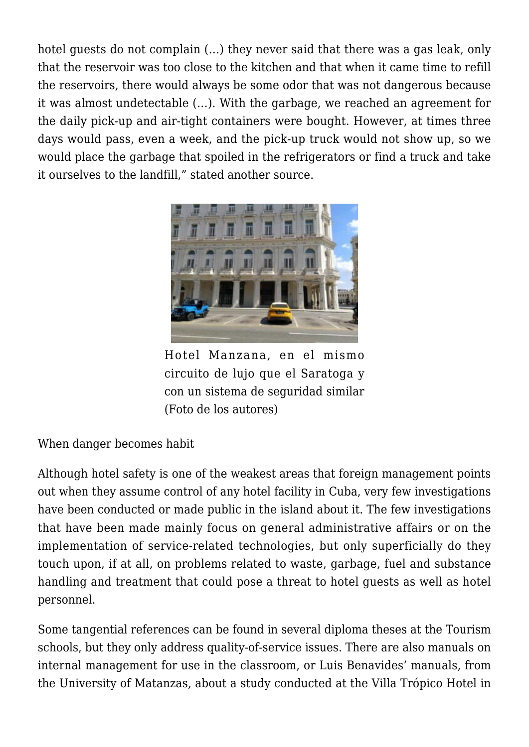hotel guests do not complain (…) they never said that there was a gas leak, only that the reservoir was too close to the kitchen and that when it came time to refill the reservoirs, there would always be some odor that was not dangerous because it was almost undetectable (…). With the garbage, we reached an agreement for the daily pick-up and air-tight containers were bought. However, at times three days would pass, even a week, and the pick-up truck would not show up, so we would place the garbage that spoiled in the refrigerators or find a truck and take it ourselves to the landfill," stated another source.



Hotel Manzana, en el mismo circuito de lujo que el Saratoga y con un sistema de seguridad similar (Foto de los autores)

When danger becomes habit

Although hotel safety is one of the weakest areas that foreign management points out when they assume control of any hotel facility in Cuba, very few investigations have been conducted or made public in the island about it. The few investigations that have been made mainly focus on general administrative affairs or on the implementation of service-related technologies, but only superficially do they touch upon, if at all, on problems related to waste, garbage, fuel and substance handling and treatment that could pose a threat to hotel guests as well as hotel personnel.

Some tangential references can be found in several diploma theses at the Tourism schools, but they only address quality-of-service issues. There are also manuals on internal management for use in the classroom, or Luis Benavides' manuals, from the University of Matanzas, about a study conducted at the Villa Trópico Hotel in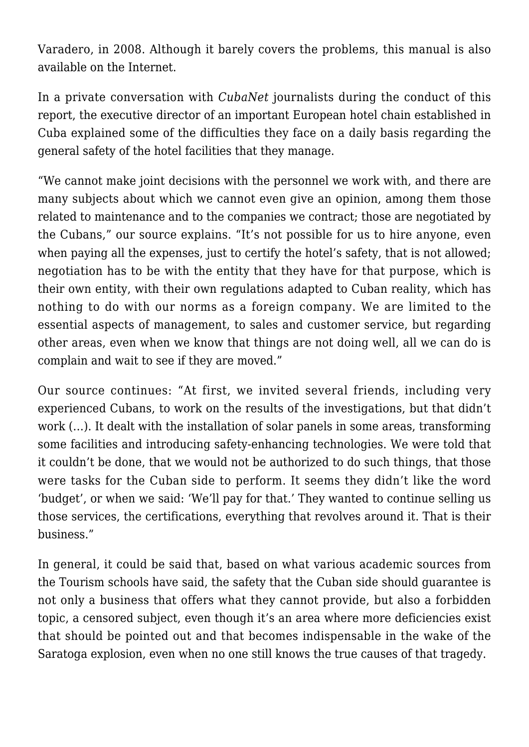Varadero, in 2008. Although it barely covers the problems, this manual is also available on the Internet.

In a private conversation with *CubaNet* journalists during the conduct of this report, the executive director of an important European hotel chain established in Cuba explained some of the difficulties they face on a daily basis regarding the general safety of the hotel facilities that they manage.

"We cannot make joint decisions with the personnel we work with, and there are many subjects about which we cannot even give an opinion, among them those related to maintenance and to the companies we contract; those are negotiated by the Cubans," our source explains. "It's not possible for us to hire anyone, even when paying all the expenses, just to certify the hotel's safety, that is not allowed: negotiation has to be with the entity that they have for that purpose, which is their own entity, with their own regulations adapted to Cuban reality, which has nothing to do with our norms as a foreign company. We are limited to the essential aspects of management, to sales and customer service, but regarding other areas, even when we know that things are not doing well, all we can do is complain and wait to see if they are moved."

Our source continues: "At first, we invited several friends, including very experienced Cubans, to work on the results of the investigations, but that didn't work (…). It dealt with the installation of solar panels in some areas, transforming some facilities and introducing safety-enhancing technologies. We were told that it couldn't be done, that we would not be authorized to do such things, that those were tasks for the Cuban side to perform. It seems they didn't like the word 'budget', or when we said: 'We'll pay for that.' They wanted to continue selling us those services, the certifications, everything that revolves around it. That is their business."

In general, it could be said that, based on what various academic sources from the Tourism schools have said, the safety that the Cuban side should guarantee is not only a business that offers what they cannot provide, but also a forbidden topic, a censored subject, even though it's an area where more deficiencies exist that should be pointed out and that becomes indispensable in the wake of the Saratoga explosion, even when no one still knows the true causes of that tragedy.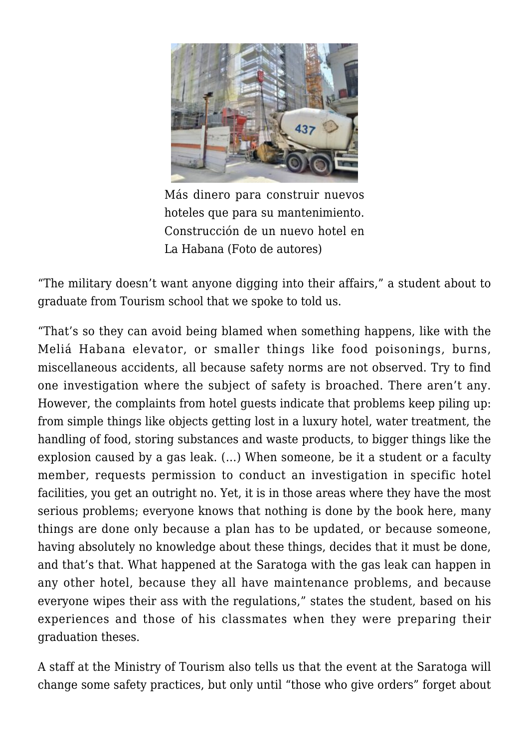

Más dinero para construir nuevos hoteles que para su mantenimiento. Construcción de un nuevo hotel en La Habana (Foto de autores)

"The military doesn't want anyone digging into their affairs," a student about to graduate from Tourism school that we spoke to told us.

"That's so they can avoid being blamed when something happens, like with the Meliá Habana elevator, or smaller things like food poisonings, burns, miscellaneous accidents, all because safety norms are not observed. Try to find one investigation where the subject of safety is broached. There aren't any. However, the complaints from hotel guests indicate that problems keep piling up: from simple things like objects getting lost in a luxury hotel, water treatment, the handling of food, storing substances and waste products, to bigger things like the explosion caused by a gas leak. (…) When someone, be it a student or a faculty member, requests permission to conduct an investigation in specific hotel facilities, you get an outright no. Yet, it is in those areas where they have the most serious problems; everyone knows that nothing is done by the book here, many things are done only because a plan has to be updated, or because someone, having absolutely no knowledge about these things, decides that it must be done, and that's that. What happened at the Saratoga with the gas leak can happen in any other hotel, because they all have maintenance problems, and because everyone wipes their ass with the regulations," states the student, based on his experiences and those of his classmates when they were preparing their graduation theses.

A staff at the Ministry of Tourism also tells us that the event at the Saratoga will change some safety practices, but only until "those who give orders" forget about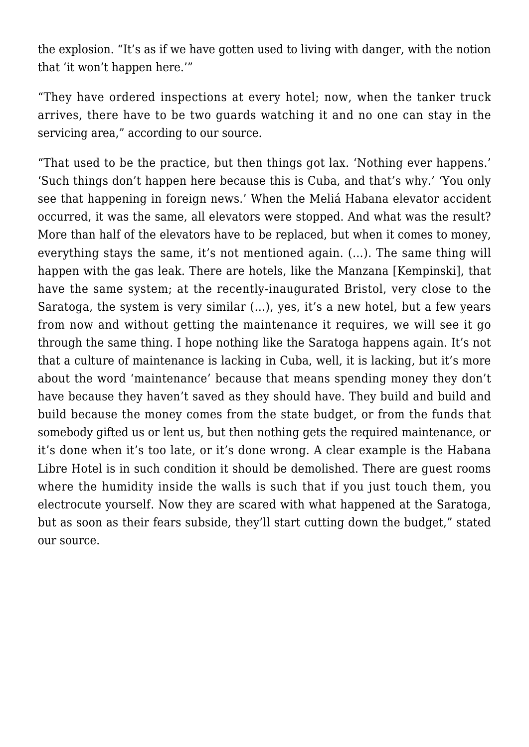the explosion. "It's as if we have gotten used to living with danger, with the notion that 'it won't happen here.'"

"They have ordered inspections at every hotel; now, when the tanker truck arrives, there have to be two guards watching it and no one can stay in the servicing area," according to our source.

"That used to be the practice, but then things got lax. 'Nothing ever happens.' 'Such things don't happen here because this is Cuba, and that's why.' 'You only see that happening in foreign news.' When the Meliá Habana elevator accident occurred, it was the same, all elevators were stopped. And what was the result? More than half of the elevators have to be replaced, but when it comes to money, everything stays the same, it's not mentioned again. (…). The same thing will happen with the gas leak. There are hotels, like the Manzana [Kempinski], that have the same system; at the recently-inaugurated Bristol, very close to the Saratoga, the system is very similar (…), yes, it's a new hotel, but a few years from now and without getting the maintenance it requires, we will see it go through the same thing. I hope nothing like the Saratoga happens again. It's not that a culture of maintenance is lacking in Cuba, well, it is lacking, but it's more about the word 'maintenance' because that means spending money they don't have because they haven't saved as they should have. They build and build and build because the money comes from the state budget, or from the funds that somebody gifted us or lent us, but then nothing gets the required maintenance, or it's done when it's too late, or it's done wrong. A clear example is the Habana Libre Hotel is in such condition it should be demolished. There are guest rooms where the humidity inside the walls is such that if you just touch them, you electrocute yourself. Now they are scared with what happened at the Saratoga, but as soon as their fears subside, they'll start cutting down the budget," stated our source.